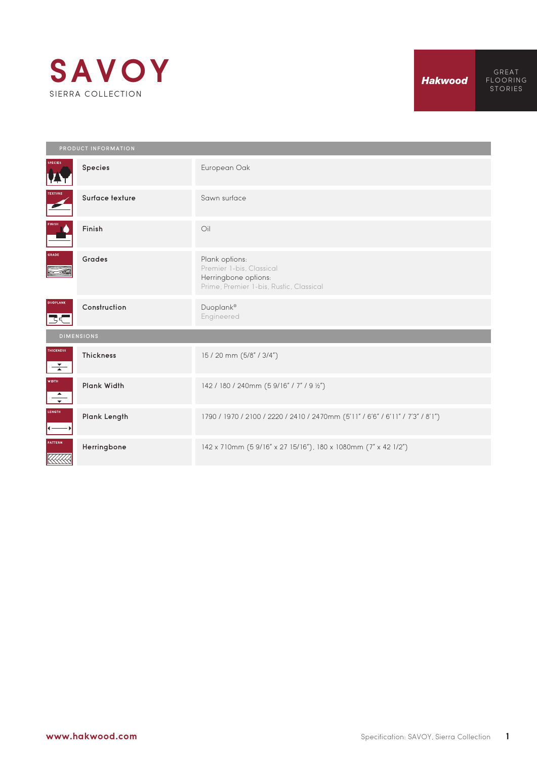

| PRODUCT INFORMATION                      |                    |                                                                                                               |  |  |  |  |
|------------------------------------------|--------------------|---------------------------------------------------------------------------------------------------------------|--|--|--|--|
| <b>SPECIES</b>                           | Species            | European Oak                                                                                                  |  |  |  |  |
| <b>FEXTURE</b>                           | Surface texture    | Sawn surface                                                                                                  |  |  |  |  |
| <b>INISH</b>                             | Finish             | Oil                                                                                                           |  |  |  |  |
| GRADE                                    | Grades             | Plank options:<br>Premier 1-bis, Classical<br>Herringbone options:<br>Prime, Premier 1-bis, Rustic, Classical |  |  |  |  |
| <b>DUOPLANK</b><br>こく                    | Construction       | Duoplank®<br>Engineered                                                                                       |  |  |  |  |
| <b>DIMENSIONS</b>                        |                    |                                                                                                               |  |  |  |  |
| <b>THICKNESS</b><br>$\overline{\bullet}$ | <b>Thickness</b>   | 15 / 20 mm (5/8" / 3/4")                                                                                      |  |  |  |  |
| <b>WIDTH</b><br>$\overline{\phantom{0}}$ | <b>Plank Width</b> | 142 / 180 / 240mm (5 9/16" / 7" / 9 ½")                                                                       |  |  |  |  |
| LENGTH                                   | Plank Length       | 1790 / 1970 / 2100 / 2220 / 2410 / 2470mm (5'11" / 6'6" / 6'11" / 7'3" / 8'1")                                |  |  |  |  |
| PATTERN                                  | Herringbone        | 142 x 710mm (5 9/16" x 27 15/16"), 180 x 1080mm (7" x 42 1/2")                                                |  |  |  |  |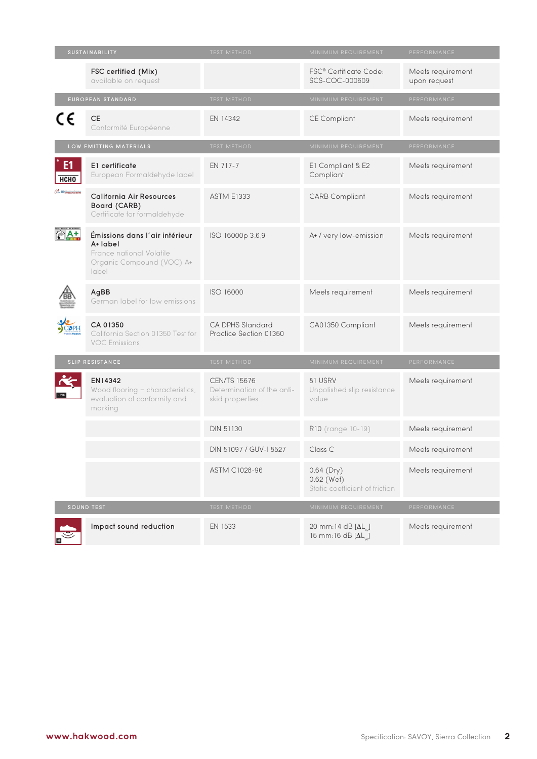| SUSTAINABILITY           |                                                                                                              | <b>TEST METHOD</b>                                                   | MINIMUM REQUIREMENT                                          | PERFORMANCE                       |
|--------------------------|--------------------------------------------------------------------------------------------------------------|----------------------------------------------------------------------|--------------------------------------------------------------|-----------------------------------|
|                          | FSC certified (Mix)<br>available on request                                                                  |                                                                      | FSC® Certificate Code:<br>SCS-COC-000609                     | Meets requirement<br>upon request |
| EUROPEAN STANDARD        |                                                                                                              | <b>TEST METHOD</b>                                                   | MINIMUM REQUIREMENT                                          | PERFORMANCE                       |
| C€                       | <b>CE</b><br>Conformité Européenne                                                                           | EN 14342                                                             | CE Compliant                                                 | Meets requirement                 |
|                          | LOW EMITTING MATERIALS                                                                                       | <b>TEST METHOD</b>                                                   | MINIMUM REQUIREMENT                                          | PERFORMANCE                       |
| E1<br><b>HCHO</b>        | E1 certificate<br>European Formaldehyde label                                                                | EN 717-7                                                             | E1 Compliant & E2<br>Compliant                               | Meets requirement                 |
| CHON @ ARRESOLACES SCARD | California Air Resources<br>Board (CARB)<br>Certificate for formaldehyde                                     | <b>ASTM E1333</b>                                                    | <b>CARB Compliant</b>                                        | Meets requirement                 |
|                          | Émissions dans l'air intérieur<br>A+ label<br>France national Volatile<br>Organic Compound (VOC) A+<br>label | ISO 16000p 3,6,9                                                     | A+ / very low-emission                                       | Meets requirement                 |
|                          | AgBB<br>German label for low emissions                                                                       | ISO 16000                                                            | Meets requirement                                            | Meets requirement                 |
|                          | CA 01350<br>California Section 01350 Test for<br><b>VOC Emissions</b>                                        | CA DPHS Standard<br>Practice Section 01350                           | CA01350 Compliant                                            | Meets requirement                 |
|                          | SLIP RESISTANCE                                                                                              | <b>TEST METHOD</b>                                                   | MINIMUM REQUIREMENT                                          | PERFORMANCE                       |
|                          | EN14342<br>Wood flooring - characteristics,<br>evaluation of conformity and<br>marking                       | <b>CEN/TS 15676</b><br>Determination of the anti-<br>skid properties | 81 USRV<br>Unpolished slip resistance<br>value               | Meets requirement                 |
|                          |                                                                                                              | <b>DIN 51130</b>                                                     | R10 (range 10-19)                                            | Meets requirement                 |
|                          |                                                                                                              | DIN 51097 / GUV-I 8527                                               | Class C                                                      | Meets requirement                 |
|                          |                                                                                                              | ASTM C1028-96                                                        | $0.64$ (Dry)<br>0.62 (Wet)<br>Static coefficient of friction | Meets requirement                 |
| SOUND TEST               |                                                                                                              | <b>TEST METHOD</b>                                                   | MINIMUM REQUIREMENT                                          | PERFORMANCE                       |
|                          | Impact sound reduction                                                                                       | EN 1533                                                              | 20 mm:14 dB [ΔL ]<br>15 mm:16 dB [ΔL <sub>ω</sub> ]          | Meets requirement                 |